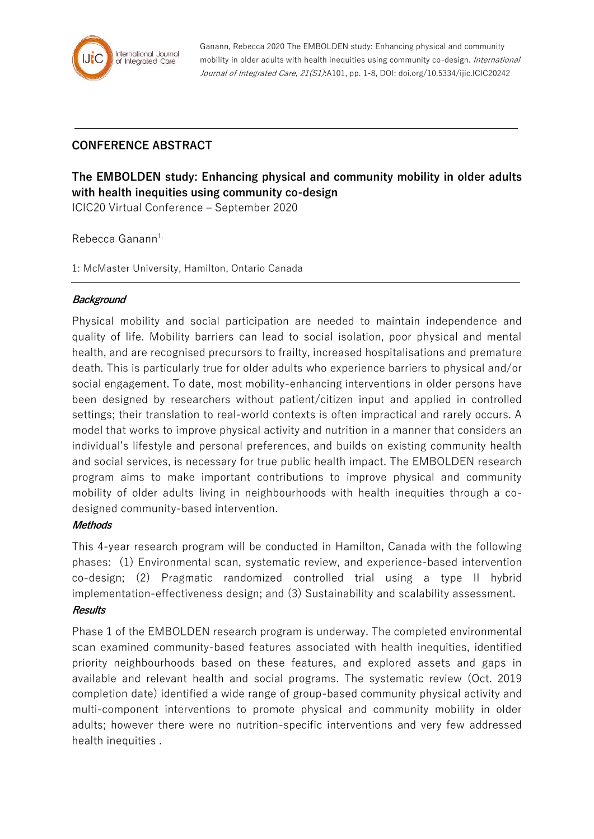

Ganann, Rebecca 2020 The EMBOLDEN study: Enhancing physical and community mobility in older adults with health inequities using community co-design. International Journal of Integrated Care, 21(S1):A101, pp. 1-8, DOI: doi.org/10.5334/ijic.ICIC20242

## **CONFERENCE ABSTRACT**

# **The EMBOLDEN study: Enhancing physical and community mobility in older adults with health inequities using community co-design**

ICIC20 Virtual Conference – September 2020

Rebecca Ganann<sup>1,</sup>

1: McMaster University, Hamilton, Ontario Canada

#### **Background**

Physical mobility and social participation are needed to maintain independence and quality of life. Mobility barriers can lead to social isolation, poor physical and mental health, and are recognised precursors to frailty, increased hospitalisations and premature death. This is particularly true for older adults who experience barriers to physical and/or social engagement. To date, most mobility-enhancing interventions in older persons have been designed by researchers without patient/citizen input and applied in controlled settings; their translation to real-world contexts is often impractical and rarely occurs. A model that works to improve physical activity and nutrition in a manner that considers an individual's lifestyle and personal preferences, and builds on existing community health and social services, is necessary for true public health impact. The EMBOLDEN research program aims to make important contributions to improve physical and community mobility of older adults living in neighbourhoods with health inequities through a codesigned community-based intervention.

### **Methods**

This 4-year research program will be conducted in Hamilton, Canada with the following phases: (1) Environmental scan, systematic review, and experience-based intervention co-design; (2) Pragmatic randomized controlled trial using a type II hybrid implementation-effectiveness design; and (3) Sustainability and scalability assessment. **Results**

Phase 1 of the EMBOLDEN research program is underway. The completed environmental scan examined community-based features associated with health inequities, identified priority neighbourhoods based on these features, and explored assets and gaps in available and relevant health and social programs. The systematic review (Oct. 2019 completion date) identified a wide range of group-based community physical activity and multi-component interventions to promote physical and community mobility in older adults; however there were no nutrition-specific interventions and very few addressed health inequities .